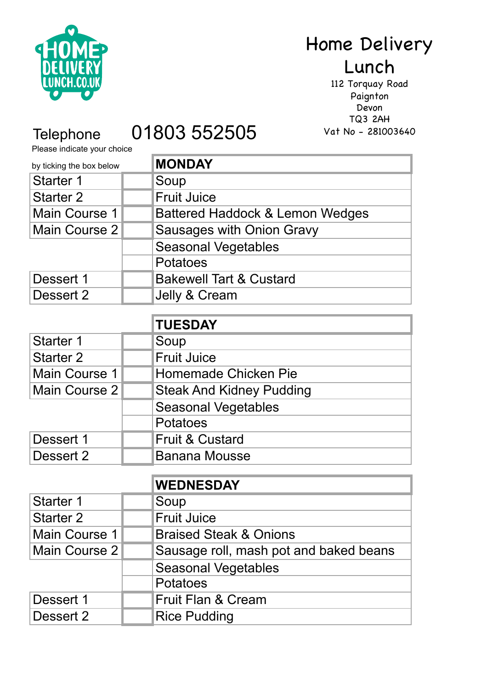

# Home Delivery Lunch

112 Torquay Road Paignton Devon TQ3 2AH Vat No - 281003640

# Telephone 01803 552505

Please indicate your choice

| <b>MONDAY</b>                      |
|------------------------------------|
| Soup                               |
| <b>Fruit Juice</b>                 |
| Battered Haddock & Lemon Wedges    |
| <b>Sausages with Onion Gravy</b>   |
| <b>Seasonal Vegetables</b>         |
| Potatoes                           |
| <b>Bakewell Tart &amp; Custard</b> |
| Jelly & Cream                      |
|                                    |

|                  | <b>TUESDAY</b>                  |
|------------------|---------------------------------|
| Starter 1        | Soup                            |
| <b>Starter 2</b> | <b>Fruit Juice</b>              |
| Main Course 1    | Homemade Chicken Pie            |
| Main Course 2    | <b>Steak And Kidney Pudding</b> |
|                  | <b>Seasonal Vegetables</b>      |
|                  | Potatoes                        |
| Dessert 1        | <b>Fruit &amp; Custard</b>      |
| Dessert 2        | <b>Banana Mousse</b>            |

|                  | <b>WEDNESDAY</b>                       |
|------------------|----------------------------------------|
| <b>Starter 1</b> | Soup                                   |
| <b>Starter 2</b> | Fruit Juice                            |
| Main Course 1    | <b>Braised Steak &amp; Onions</b>      |
| Main Course 2    | Sausage roll, mash pot and baked beans |
|                  | <b>Seasonal Vegetables</b>             |
|                  | Potatoes                               |
| Dessert 1        | <b>Fruit Flan &amp; Cream</b>          |
| Dessert 2        | <b>Rice Pudding</b>                    |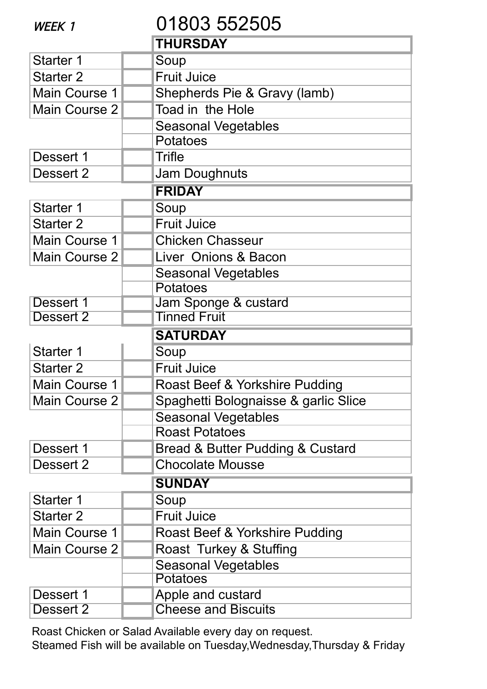| WEEK 1               | 01803 552505                         |
|----------------------|--------------------------------------|
|                      | <b>THURSDAY</b>                      |
| Starter 1            | Soup                                 |
| <b>Starter 2</b>     | <b>Fruit Juice</b>                   |
| Main Course 1        | Shepherds Pie & Gravy (lamb)         |
| <b>Main Course 2</b> | Toad in the Hole                     |
|                      | <b>Seasonal Vegetables</b>           |
|                      | <b>Potatoes</b>                      |
| Dessert 1            | <b>Trifle</b>                        |
| Dessert 2            | Jam Doughnuts                        |
|                      | <b>FRIDAY</b>                        |
| Starter 1            | Soup                                 |
| <b>Starter 2</b>     | <b>Fruit Juice</b>                   |
| Main Course 1        | <b>Chicken Chasseur</b>              |
| <b>Main Course 2</b> | Liver Onions & Bacon                 |
|                      | <b>Seasonal Vegetables</b>           |
|                      | Potatoes                             |
| Dessert 1            | Jam Sponge & custard                 |
| Dessert 2            | <b>Tinned Fruit</b>                  |
|                      | <b>SATURDAY</b>                      |
| <b>Starter 1</b>     | Soup                                 |
| <b>Starter 2</b>     | <b>Fruit Juice</b>                   |
| Main Course 1        | Roast Beef & Yorkshire Pudding       |
| Main Course 2        | Spaghetti Bolognaisse & garlic Slice |
|                      | <b>Seasonal Vegetables</b>           |
|                      | <b>Roast Potatoes</b>                |
| Dessert 1            | Bread & Butter Pudding & Custard     |
| Dessert 2            | <b>Chocolate Mousse</b>              |
|                      | <b>SUNDAY</b>                        |
| Starter 1            | Soup                                 |
| <b>Starter 2</b>     | <b>Fruit Juice</b>                   |
| Main Course 1        | Roast Beef & Yorkshire Pudding       |
| <b>Main Course 2</b> | Roast Turkey & Stuffing              |
|                      | <b>Seasonal Vegetables</b>           |
|                      | <b>Potatoes</b>                      |
| Dessert 1            | Apple and custard                    |
| Dessert 2            | <b>Cheese and Biscuits</b>           |

Roast Chicken or Salad Available every day on request. Steamed Fish will be available on Tuesday,Wednesday,Thursday & Friday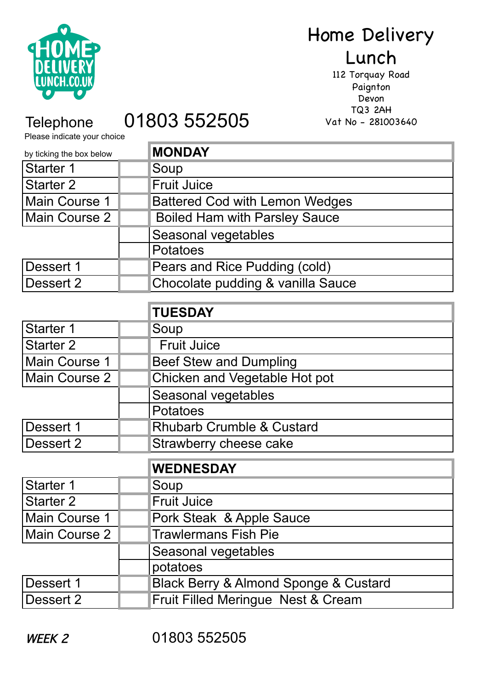

### Home Delivery Lunch

112 Torquay Road Paignton Devon TQ3 2AH Vat No - 281003640

Please indicate your choice

## Telephone 01803 552505

| by ticking the box below | <b>MONDAY</b>                         |
|--------------------------|---------------------------------------|
| <b>Starter 1</b>         | Soup                                  |
| <b>Starter 2</b>         | <b>Fruit Juice</b>                    |
| Main Course 1            | <b>Battered Cod with Lemon Wedges</b> |
| <b>Main Course 2</b>     | <b>Boiled Ham with Parsley Sauce</b>  |
|                          | Seasonal vegetables                   |
|                          | <b>Potatoes</b>                       |
| Dessert 1                | Pears and Rice Pudding (cold)         |
| Dessert 2                | Chocolate pudding & vanilla Sauce     |
|                          |                                       |
|                          | <b>TUESDAY</b>                        |
| <b>Starter 1</b>         | Soup                                  |
| <b>Starter 2</b>         | <b>Fruit Juice</b>                    |
| Main Course 1            | <b>Beef Stew and Dumpling</b>         |
| <b>Main Course 2</b>     | Chicken and Vegetable Hot pot         |
|                          | Seasonal vegetables                   |
|                          | Potatoes                              |
| Dessert 1                | <b>Rhubarb Crumble &amp; Custard</b>  |
| Dessert 2                | Strawberry cheese cake                |
|                          | <b>WEDNESDAY</b>                      |
| <b>Starter 1</b>         | Soup                                  |
| <b>Starter 2</b>         | <b>Fruit Juice</b>                    |
| Main Course 1            | Pork Steak & Apple Sauce              |
| Main Course 2            | <b>Trawlermans Fish Pie</b>           |
|                          | Seasonal vegetables                   |
|                          | potatoes                              |
| Dessert 1                | Black Berry & Almond Sponge & Custard |
| Dessert 2                | Fruit Filled Meringue Nest & Cream    |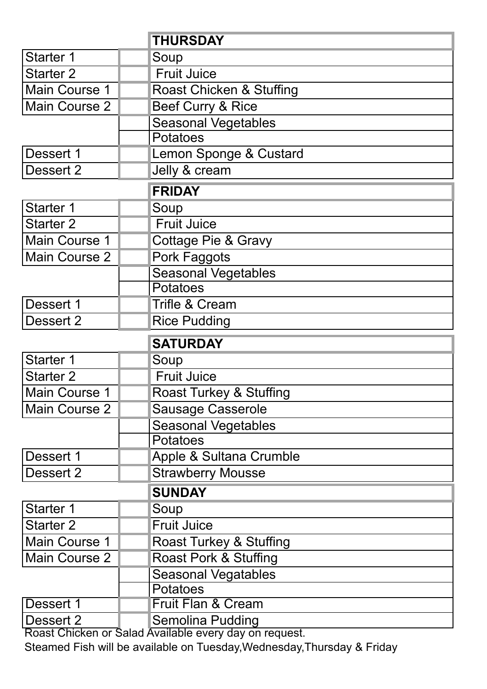|                        | <b>THURSDAY</b>                                   |
|------------------------|---------------------------------------------------|
| <b>Starter 1</b>       | Soup                                              |
| <b>Starter 2</b>       | <b>Fruit Juice</b>                                |
| Main Course 1          | Roast Chicken & Stuffing                          |
| Main Course 2          | Beef Curry & Rice                                 |
|                        | <b>Seasonal Vegetables</b>                        |
|                        | <b>Potatoes</b>                                   |
| Dessert 1              | Lemon Sponge & Custard                            |
| Dessert 2              | Jelly & cream                                     |
|                        | <b>FRIDAY</b>                                     |
| Starter 1              | Soup                                              |
| <b>Starter 2</b>       | <b>Fruit Juice</b>                                |
| Main Course 1          | <b>Cottage Pie &amp; Gravy</b>                    |
| Main Course 2          | Pork Faggots                                      |
|                        | <b>Seasonal Vegetables</b>                        |
|                        | Potatoes                                          |
| Dessert 1              | <b>Trifle &amp; Cream</b>                         |
| Dessert 2              | <b>Rice Pudding</b>                               |
|                        |                                                   |
|                        | <b>SATURDAY</b>                                   |
| Starter 1              | Soup                                              |
| <b>Starter 2</b>       | <b>Fruit Juice</b>                                |
| Main Course 1          | Roast Turkey & Stuffing                           |
| Main Course 2          | <b>Sausage Casserole</b>                          |
|                        | <b>Seasonal Vegetables</b>                        |
|                        | <b>Potatoes</b>                                   |
| Dessert 1              | Apple & Sultana Crumble                           |
| Dessert 2              | <b>Strawberry Mousse</b>                          |
|                        | <b>SUNDAY</b>                                     |
| <b>Starter 1</b>       | Soup                                              |
| <b>Starter 2</b>       | <b>Fruit Juice</b>                                |
| Main Course 1          | Roast Turkey & Stuffing                           |
| Main Course 2          | Roast Pork & Stuffing                             |
|                        | <b>Seasonal Vegatables</b>                        |
|                        | <b>Potatoes</b>                                   |
| Dessert 1<br>Dessert 2 | <b>Fruit Flan &amp; Cream</b><br>Semolina Pudding |

Roast Chicken or Salad Available every day on request.

Steamed Fish will be available on Tuesday,Wednesday,Thursday & Friday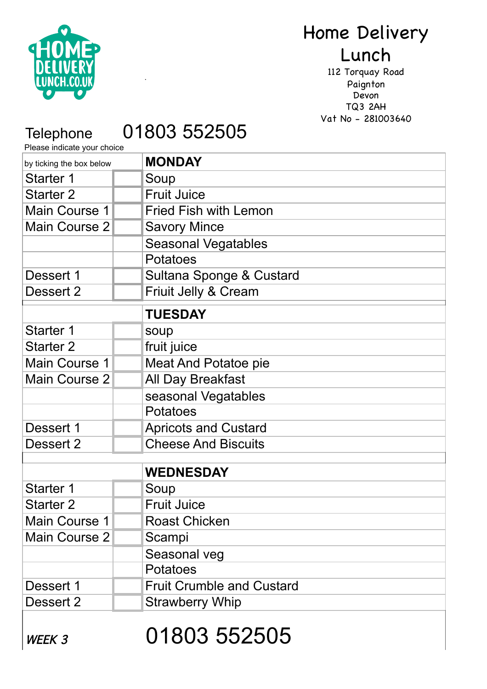

# Home Delivery

## Lunch

112 Torquay Road Paignton Devon TQ3 2AH Vat No - 281003640

# Telephone 01803 552505

.

Please indicate your choice

| by ticking the box below | <b>MONDAY</b>                    |
|--------------------------|----------------------------------|
| <b>Starter 1</b>         | Soup                             |
| <b>Starter 2</b>         | <b>Fruit Juice</b>               |
| Main Course 1            | <b>Fried Fish with Lemon</b>     |
| Main Course 2            | <b>Savory Mince</b>              |
|                          | <b>Seasonal Vegatables</b>       |
|                          | Potatoes                         |
| Dessert 1                | Sultana Sponge & Custard         |
| Dessert 2                | Friuit Jelly & Cream             |
|                          | <b>TUESDAY</b>                   |
| <b>Starter 1</b>         | soup                             |
| <b>Starter 2</b>         | fruit juice                      |
| Main Course 1            | Meat And Potatoe pie             |
| Main Course 2            | All Day Breakfast                |
|                          | seasonal Vegatables              |
|                          | Potatoes                         |
| Dessert 1                | <b>Apricots and Custard</b>      |
| Dessert 2                | <b>Cheese And Biscuits</b>       |
|                          |                                  |
|                          | <b>WEDNESDAY</b>                 |
| Starter 1                | Soup                             |
| <b>Starter 2</b>         | <b>Fruit Juice</b>               |
| Main Course 1            | Roast Chicken                    |
| Main Course 2            | Scampi                           |
|                          | Seasonal veg                     |
|                          | <b>Potatoes</b>                  |
| Dessert 1                | <b>Fruit Crumble and Custard</b> |
| Dessert 2                | <b>Strawberry Whip</b>           |
|                          |                                  |

WEEK 3 01803 552505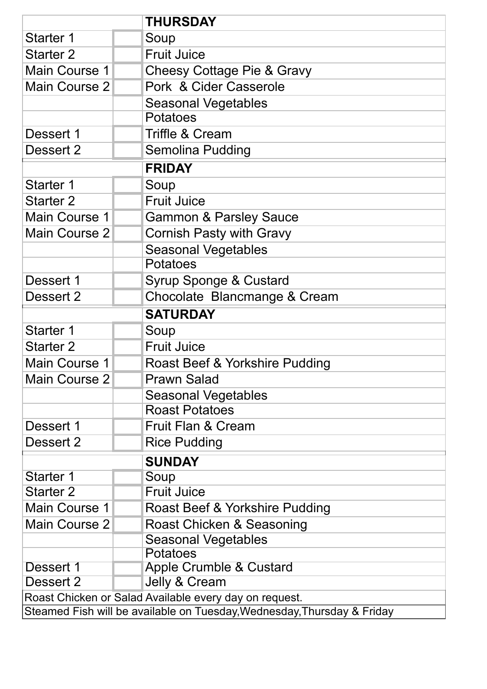|                      | <b>THURSDAY</b>                                                                                                                   |
|----------------------|-----------------------------------------------------------------------------------------------------------------------------------|
| <b>Starter 1</b>     | Soup                                                                                                                              |
| <b>Starter 2</b>     | <b>Fruit Juice</b>                                                                                                                |
| Main Course 1        | Cheesy Cottage Pie & Gravy                                                                                                        |
| <b>Main Course 2</b> | Pork & Cider Casserole                                                                                                            |
|                      | <b>Seasonal Vegetables</b>                                                                                                        |
|                      | Potatoes                                                                                                                          |
| Dessert 1            | <b>Triffle &amp; Cream</b>                                                                                                        |
| Dessert 2            | Semolina Pudding                                                                                                                  |
|                      | <b>FRIDAY</b>                                                                                                                     |
| Starter 1            | Soup                                                                                                                              |
| <b>Starter 2</b>     | <b>Fruit Juice</b>                                                                                                                |
| Main Course 1        | <b>Gammon &amp; Parsley Sauce</b>                                                                                                 |
| <b>Main Course 2</b> | <b>Cornish Pasty with Gravy</b>                                                                                                   |
|                      | <b>Seasonal Vegetables</b>                                                                                                        |
|                      | Potatoes                                                                                                                          |
| Dessert 1            | Syrup Sponge & Custard                                                                                                            |
| Dessert 2            | Chocolate Blancmange & Cream                                                                                                      |
|                      | <b>SATURDAY</b>                                                                                                                   |
| Starter 1            | Soup                                                                                                                              |
| <b>Starter 2</b>     | <b>Fruit Juice</b>                                                                                                                |
| <b>Main Course 1</b> | Roast Beef & Yorkshire Pudding                                                                                                    |
| <b>Main Course 2</b> | <b>Prawn Salad</b>                                                                                                                |
|                      | <b>Seasonal Vegetables</b>                                                                                                        |
|                      | <b>Roast Potatoes</b>                                                                                                             |
| Dessert 1            | <b>Fruit Flan &amp; Cream</b>                                                                                                     |
| Dessert 2            | <b>Rice Pudding</b>                                                                                                               |
|                      | <b>SUNDAY</b>                                                                                                                     |
| Starter 1            | Soup                                                                                                                              |
| <b>Starter 2</b>     | <b>Fruit Juice</b>                                                                                                                |
| <b>Main Course 1</b> | Roast Beef & Yorkshire Pudding                                                                                                    |
| <b>Main Course 2</b> | Roast Chicken & Seasoning                                                                                                         |
|                      | <b>Seasonal Vegetables</b>                                                                                                        |
|                      | Potatoes                                                                                                                          |
| Dessert 1            | <b>Apple Crumble &amp; Custard</b>                                                                                                |
| Dessert 2            | Jelly & Cream                                                                                                                     |
|                      | Roast Chicken or Salad Available every day on request.<br>Steamed Fish will be available on Tuesday, Wednesday, Thursday & Friday |
|                      |                                                                                                                                   |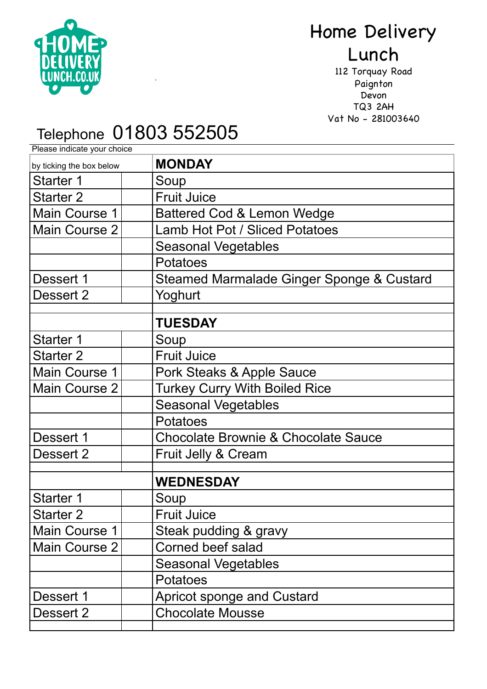

# Home Delivery Lunch

112 Torquay Road Paignton Devon TQ3 2AH Vat No - 281003640

#### **Please indicate your choice** Telephone 01803 552505

.

**MONDAY**  Starter 1 | Soup Starter 2 | Fruit Juice Main Course 1 | | Battered Cod & Lemon Wedge Main Course 2 | | Lamb Hot Pot / Sliced Potatoes Seasonal Vegetables Potatoes Dessert 1 | Steamed Marmalade Ginger Sponge & Custard Dessert 2 | Yoghurt **TUESDAY**  Starter 1 | Soup Starter 2 | Fruit Juice Main Course 1 Pork Steaks & Apple Sauce Main Course 2 | Turkey Curry With Boiled Rice Seasonal Vegetables Potatoes Dessert 1 | Chocolate Brownie & Chocolate Sauce Dessert 2 | Fruit Jelly & Cream **WEDNESDAY** Starter 1 | Soup Starter 2 | Fruit Juice Main Course  $1$  Steak pudding & gravy Main Course 2 | Corned beef salad Seasonal Vegetables Potatoes Dessert 1 | | | | Apricot sponge and Custard Dessert 2 | Chocolate Mousse by ticking the box below